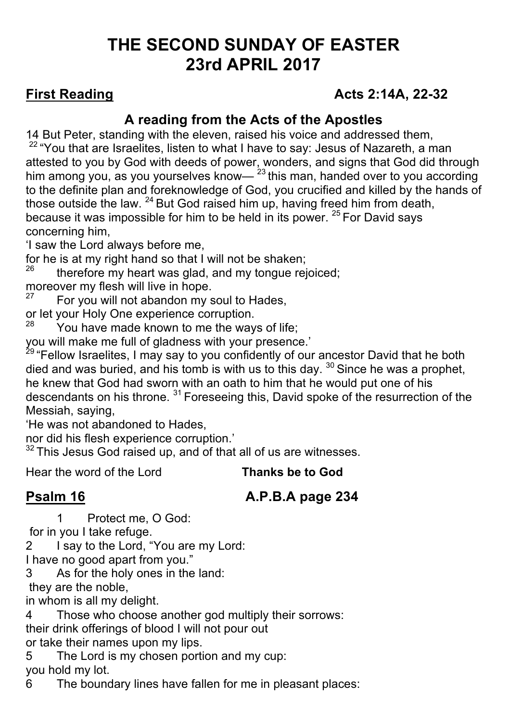# **THE SECOND SUNDAY OF EASTER 23rd APRIL 2017**

## **First Reading Acts 2:14A, 22-32**

## **A reading from the Acts of the Apostles**

14 But Peter, standing with the eleven, raised his voice and addressed them,

 $22$  "You that are Israelites, listen to what I have to say: Jesus of Nazareth, a man attested to you by God with deeds of power, wonders, and signs that God did through him among you, as you yourselves know— $23$  this man, handed over to you according to the definite plan and foreknowledge of God, you crucified and killed by the hands of those outside the law.  $^{24}$  But God raised him up, having freed him from death, because it was impossible for him to be held in its power. <sup>25</sup> For David says concerning him,

'I saw the Lord always before me,

for he is at my right hand so that I will not be shaken;

therefore my heart was glad, and my tongue rejoiced;

moreover my flesh will live in hope.

For you will not abandon my soul to Hades,

or let your Holy One experience corruption.

You have made known to me the ways of life;

you will make me full of gladness with your presence.'

<sup>29</sup> "Fellow Israelites, I may say to you confidently of our ancestor David that he both died and was buried, and his tomb is with us to this day.  $30$  Since he was a prophet, he knew that God had sworn with an oath to him that he would put one of his descendants on his throne. <sup>31</sup> Foreseeing this, David spoke of the resurrection of the Messiah, saying,

'He was not abandoned to Hades,

nor did his flesh experience corruption.'

 $32$  This Jesus God raised up, and of that all of us are witnesses.

Hear the word of the Lord **Thanks be to God**

# **Psalm 16 A.P.B.A page 234**

1 Protect me, O God:

for in you I take refuge.

2 I say to the Lord, "You are my Lord:

I have no good apart from you."

3 As for the holy ones in the land:

they are the noble,

in whom is all my delight.

4 Those who choose another god multiply their sorrows: their drink offerings of blood I will not pour out or take their names upon my lips.

5 The Lord is my chosen portion and my cup:

you hold my lot.

6 The boundary lines have fallen for me in pleasant places: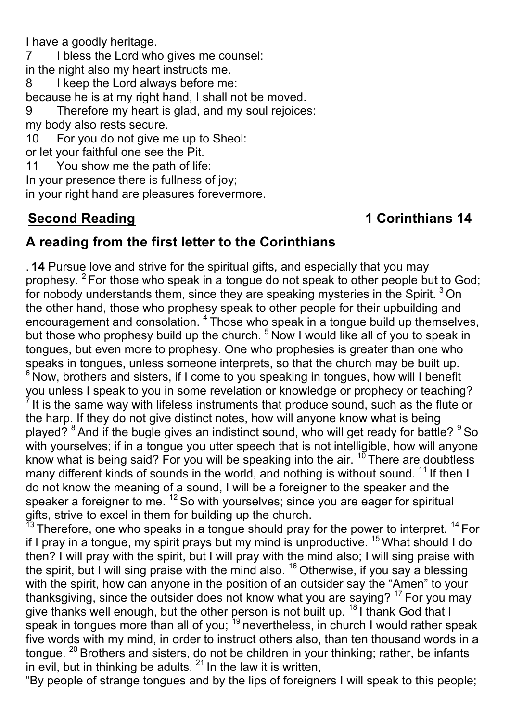I have a goodly heritage.

7 I bless the Lord who gives me counsel: in the night also my heart instructs me.

8 I keep the Lord always before me:

because he is at my right hand, I shall not be moved.

9 Therefore my heart is glad, and my soul rejoices: my body also rests secure.

10 For you do not give me up to Sheol:

or let your faithful one see the Pit.

11 You show me the path of life:

In your presence there is fullness of joy;

in your right hand are pleasures forevermore.

## **Second Reading 1 Corinthians 14**

### **A reading from the first letter to the Corinthians**

. **14** Pursue love and strive for the spiritual gifts, and especially that you may prophesy. <sup>2</sup> For those who speak in a tongue do not speak to other people but to God; for nobody understands them, since they are speaking mysteries in the Spirit.<sup>3</sup> On the other hand, those who prophesy speak to other people for their upbuilding and encouragement and consolation. <sup>4</sup> Those who speak in a tongue build up themselves, but those who prophesy build up the church. <sup>5</sup> Now I would like all of you to speak in tongues, but even more to prophesy. One who prophesies is greater than one who speaks in tongues, unless someone interprets, so that the church may be built up.  $6$  Now, brothers and sisters, if I come to you speaking in tongues, how will I benefit you unless I speak to you in some revelation or knowledge or prophecy or teaching? It is the same way with lifeless instruments that produce sound, such as the flute or the harp. If they do not give distinct notes, how will anyone know what is being played? <sup>8</sup> And if the bugle gives an indistinct sound, who will get ready for battle? <sup>9</sup> So with yourselves; if in a tongue you utter speech that is not intelligible, how will anyone know what is being said? For you will be speaking into the air.  $10^7$  There are doubtless many different kinds of sounds in the world, and nothing is without sound.  $11$  If then I do not know the meaning of a sound, I will be a foreigner to the speaker and the speaker a foreigner to me. <sup>12</sup> So with yourselves; since you are eager for spiritual gifts, strive to excel in them for building up the church.

 $^{13}$  Therefore, one who speaks in a tongue should pray for the power to interpret.  $^{14}$  For if I pray in a tongue, my spirit prays but my mind is unproductive. 15 What should I do then? I will pray with the spirit, but I will pray with the mind also; I will sing praise with the spirit, but I will sing praise with the mind also.  $16$  Otherwise, if you say a blessing with the spirit, how can anyone in the position of an outsider say the "Amen" to your thanksgiving, since the outsider does not know what you are saying? 17 For you may give thanks well enough, but the other person is not built up. <sup>18</sup> I thank God that I speak in tongues more than all of you; <sup>19</sup> nevertheless, in church I would rather speak five words with my mind, in order to instruct others also, than ten thousand words in a tongue. <sup>20</sup> Brothers and sisters, do not be children in your thinking; rather, be infants in evil, but in thinking be adults.  $21$  In the law it is written,

"By people of strange tongues and by the lips of foreigners I will speak to this people;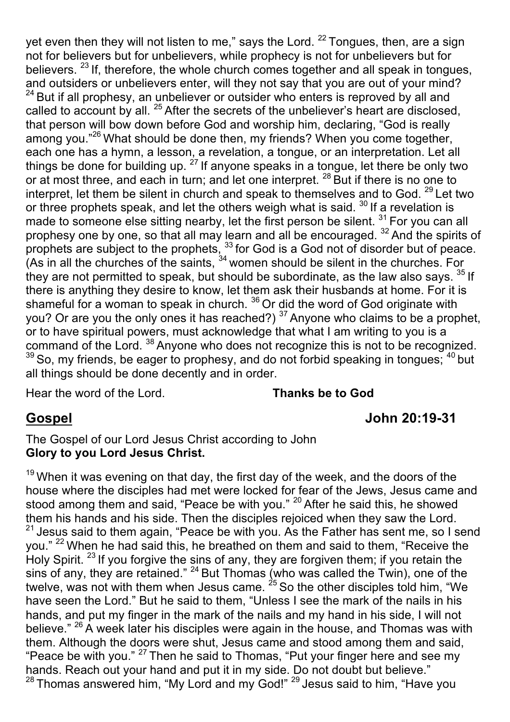yet even then they will not listen to me," says the Lord.  $^{22}$  Tongues, then, are a sign not for believers but for unbelievers, while prophecy is not for unbelievers but for believers.  $^{23}$  If, therefore, the whole church comes together and all speak in tongues, and outsiders or unbelievers enter, will they not say that you are out of your mind?  $24$  But if all prophesy, an unbeliever or outsider who enters is reproved by all and called to account by all. <sup>25</sup> After the secrets of the unbeliever's heart are disclosed, that person will bow down before God and worship him, declaring, "God is really among you."<sup>26</sup> What should be done then, my friends? When you come together, each one has a hymn, a lesson, a revelation, a tongue, or an interpretation. Let all things be done for building up.  $^{27}$  If anyone speaks in a tongue, let there be only two or at most three, and each in turn; and let one interpret. <sup>28</sup> But if there is no one to interpret, let them be silent in church and speak to themselves and to God. <sup>29</sup> Let two or three prophets speak, and let the others weigh what is said.<sup>30</sup> If a revelation is made to someone else sitting nearby, let the first person be silent.<sup>31</sup> For you can all prophesy one by one, so that all may learn and all be encouraged. <sup>32</sup> And the spirits of prophets are subject to the prophets,  $^{33}$  for God is a God not of disorder but of peace. (As in all the churches of the saints,  $34$  women should be silent in the churches. For they are not permitted to speak, but should be subordinate, as the law also says.  $35$  If there is anything they desire to know, let them ask their husbands at home. For it is shameful for a woman to speak in church.  $36$  Or did the word of God originate with you? Or are you the only ones it has reached?)  $37$  Anyone who claims to be a prophet, or to have spiritual powers, must acknowledge that what I am writing to you is a command of the Lord.<sup>38</sup> Anyone who does not recognize this is not to be recognized.  $39$  So, my friends, be eager to prophesy, and do not forbid speaking in tongues;  $40$  but all things should be done decently and in order.

Hear the word of the Lord. **Thanks be to God**

#### **Gospel John 20:19-31**

The Gospel of our Lord Jesus Christ according to John **Glory to you Lord Jesus Christ.**

 $19$  When it was evening on that day, the first day of the week, and the doors of the house where the disciples had met were locked for fear of the Jews, Jesus came and stood among them and said, "Peace be with you." <sup>20</sup> After he said this, he showed them his hands and his side. Then the disciples rejoiced when they saw the Lord.  $21$  Jesus said to them again, "Peace be with you. As the Father has sent me, so I send you." <sup>22</sup> When he had said this, he breathed on them and said to them, "Receive the Holy Spirit. <sup>23</sup> If you forgive the sins of any, they are forgiven them; if you retain the sins of any, they are retained."  $^{24}$  But Thomas (who was called the Twin), one of the twelve, was not with them when Jesus came.  $25$  So the other disciples told him, "We have seen the Lord." But he said to them, "Unless I see the mark of the nails in his hands, and put my finger in the mark of the nails and my hand in his side, I will not believe." <sup>26</sup> A week later his disciples were again in the house, and Thomas was with them. Although the doors were shut, Jesus came and stood among them and said, "Peace be with you." <sup>27</sup> Then he said to Thomas, "Put your finger here and see my hands. Reach out your hand and put it in my side. Do not doubt but believe." <sup>28</sup> Thomas answered him, "My Lord and my God!" <sup>29</sup> Jesus said to him, "Have you